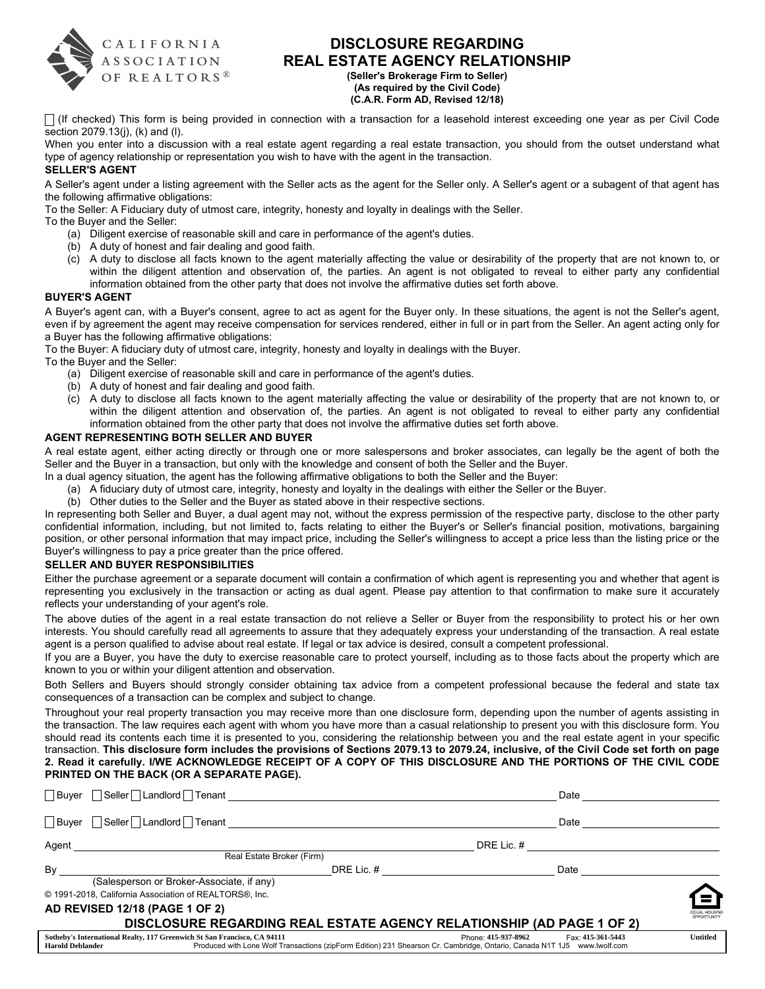

# DISCLOSURE REGARDING REAL ESTATE AGENCY RELATIONSHIP

(Seller's Brokerage Firm to Seller) (As required by the Civil Code) (C.A.R. Form AD, Revised 12/18)

 $\Box$  (If checked) This form is being provided in connection with a transaction for a leasehold interest exceeding one year as per Civil Code section 2079.13(j), (k) and (l).

When you enter into a discussion with a real estate agent regarding a real estate transaction, you should from the outset understand what type of agency relationship or representation you wish to have with the agent in the transaction.

## SELLER'S AGENT

A Seller's agent under a listing agreement with the Seller acts as the agent for the Seller only. A Seller's agent or a subagent of that agent has the following affirmative obligations:

To the Seller: A Fiduciary duty of utmost care, integrity, honesty and loyalty in dealings with the Seller.

To the Buyer and the Seller:

- (a) Diligent exercise of reasonable skill and care in performance of the agent's duties.
- (b) A duty of honest and fair dealing and good faith.
- (c) A duty to disclose all facts known to the agent materially affecting the value or desirability of the property that are not known to, or within the diligent attention and observation of, the parties. An agent is not obligated to reveal to either party any confidential information obtained from the other party that does not involve the affirmative duties set forth above.

### BUYER'S AGENT

A Buyer's agent can, with a Buyer's consent, agree to act as agent for the Buyer only. In these situations, the agent is not the Seller's agent, even if by agreement the agent may receive compensation for services rendered, either in full or in part from the Seller. An agent acting only for a Buyer has the following affirmative obligations:

To the Buyer: A fiduciary duty of utmost care, integrity, honesty and loyalty in dealings with the Buyer.

To the Buyer and the Seller:

- (a) Diligent exercise of reasonable skill and care in performance of the agent's duties.
- (b) A duty of honest and fair dealing and good faith.
- (c) A duty to disclose all facts known to the agent materially affecting the value or desirability of the property that are not known to, or within the diligent attention and observation of, the parties. An agent is not obligated to reveal to either party any confidential information obtained from the other party that does not involve the affirmative duties set forth above.

# AGENT REPRESENTING BOTH SELLER AND BUYER

A real estate agent, either acting directly or through one or more salespersons and broker associates, can legally be the agent of both the Seller and the Buyer in a transaction, but only with the knowledge and consent of both the Seller and the Buyer.

- In a dual agency situation, the agent has the following affirmative obligations to both the Seller and the Buyer:
	- (a) A fiduciary duty of utmost care, integrity, honesty and loyalty in the dealings with either the Seller or the Buyer.
	- (b) Other duties to the Seller and the Buyer as stated above in their respective sections.

In representing both Seller and Buyer, a dual agent may not, without the express permission of the respective party, disclose to the other party confidential information, including, but not limited to, facts relating to either the Buyer's or Seller's financial position, motivations, bargaining position, or other personal information that may impact price, including the Seller's willingness to accept a price less than the listing price or the Buyer's willingness to pay a price greater than the price offered.

#### SELLER AND BUYER RESPONSIBILITIES

Either the purchase agreement or a separate document will contain a confirmation of which agent is representing you and whether that agent is representing you exclusively in the transaction or acting as dual agent. Please pay attention to that confirmation to make sure it accurately reflects your understanding of your agent's role.

The above duties of the agent in a real estate transaction do not relieve a Seller or Buyer from the responsibility to protect his or her own interests. You should carefully read all agreements to assure that they adequately express your understanding of the transaction. A real estate agent is a person qualified to advise about real estate. If legal or tax advice is desired, consult a competent professional.

If you are a Buyer, you have the duty to exercise reasonable care to protect yourself, including as to those facts about the property which are known to you or within your diligent attention and observation.

Both Sellers and Buyers should strongly consider obtaining tax advice from a competent professional because the federal and state tax consequences of a transaction can be complex and subject to change.

Throughout your real property transaction you may receive more than one disclosure form, depending upon the number of agents assisting in the transaction. The law requires each agent with whom you have more than a casual relationship to present you with this disclosure form. You should read its contents each time it is presented to you, considering the relationship between you and the real estate agent in your specific transaction. This disclosure form includes the provisions of Sections 2079.13 to 2079.24, inclusive, of the Civil Code set forth on page 2. Read it carefully. I/WE ACKNOWLEDGE RECEIPT OF A COPY OF THIS DISCLOSURE AND THE PORTIONS OF THE CIVIL CODE PRINTED ON THE BACK (OR A SEPARATE PAGE).

| Seller Landlord Tenant<br>Buyer                                                                     |                                                                                                                          | Date                                     |                    |
|-----------------------------------------------------------------------------------------------------|--------------------------------------------------------------------------------------------------------------------------|------------------------------------------|--------------------|
| Seller Landlord Tenant<br>Buver                                                                     |                                                                                                                          | Date                                     |                    |
| Agent                                                                                               |                                                                                                                          | DRE Lic. #                               |                    |
|                                                                                                     | Real Estate Broker (Firm)                                                                                                |                                          |                    |
| By                                                                                                  | DRE Lic. #                                                                                                               | Date                                     |                    |
| (Salesperson or Broker-Associate, if any)                                                           |                                                                                                                          |                                          |                    |
| © 1991-2018. California Association of REALTORS®. Inc.                                              |                                                                                                                          |                                          |                    |
| AD REVISED 12/18 (PAGE 1 OF 2)                                                                      |                                                                                                                          |                                          | EQUAL HOUSING      |
|                                                                                                     | DISCLOSURE REGARDING REAL ESTATE AGENCY RELATIONSHIP (AD PAGE 1 OF 2)                                                    |                                          | <b>OPPORTUNITY</b> |
| Sotheby's International Realty, 117 Greenwich St San Francisco, CA 94111<br><b>Harold Deblander</b> | Produced with Lone Wolf Transactions (zipForm Edition) 231 Shearson Cr. Cambridge, Ontario, Canada N1T 1J5 www.lwolf.com | Phone: 415-937-8962<br>Fax: 415-361-5443 | <b>Untitled</b>    |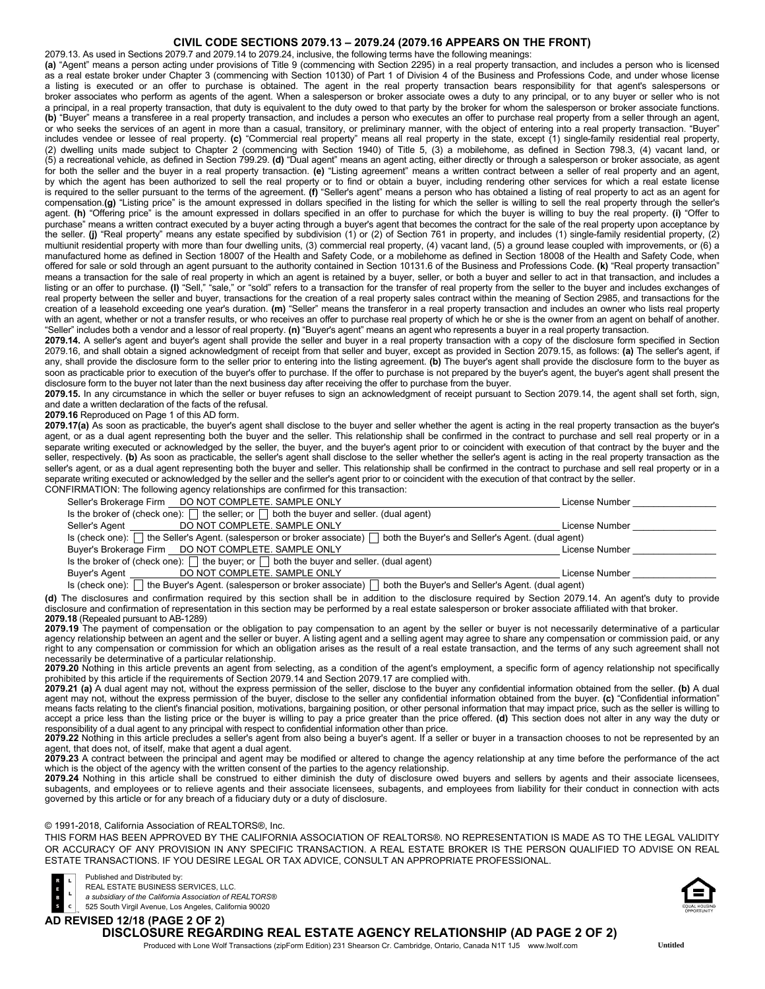## CIVIL CODE SECTIONS 2079.13 ‒ 2079.24 (2079.16 APPEARS ON THE FRONT)

2079.13. As used in Sections 2079.7 and 2079.14 to 2079.24, inclusive, the following terms have the following meanings: (a) "Agent" means a person acting under provisions of Title 9 (commencing with Section 2295) in a real property transaction, and includes a person who is licensed as a real estate broker under Chapter 3 (commencing with Section 10130) of Part 1 of Division 4 of the Business and Professions Code, and under whose license a listing is executed or an offer to purchase is obtained. The agent in the real property transaction bears responsibility for that agent's salespersons or broker associates who perform as agents of the agent. When a salesperson or broker associate owes a duty to any principal, or to any buyer or seller who is not a principal, in a real property transaction, that duty is equivalent to the duty owed to that party by the broker for whom the salesperson or broker associate functions. (b) "Buyer" means a transferee in a real property transaction, and includes a person who executes an offer to purchase real property from a seller through an agent, or who seeks the services of an agent in more than a casual, transitory, or preliminary manner, with the object of entering into a real property transaction. "Buyer" includes vendee or lessee of real property. (c) "Commercial real property" means all real property in the state, except (1) single-family residential real property, (2) dwelling units made subject to Chapter 2 (commencing with Section 1940) of Title 5, (3) a mobilehome, as defined in Section 798.3, (4) vacant land, or (5) a recreational vehicle, as defined in Section 799.29. (d) "Dual agent" means an agent acting, either directly or through a salesperson or broker associate, as agent for both the seller and the buyer in a real property transaction. (e) "Listing agreement" means a written contract between a seller of real property and an agent, by which the agent has been authorized to sell the real property or to find or obtain a buyer, including rendering other services for which a real estate license is required to the seller pursuant to the terms of the agreement. (f) "Seller's agent" means a person who has obtained a listing of real property to act as an agent for compensation.(g) "Listing price" is the amount expressed in dollars specified in the listing for which the seller is willing to sell the real property through the seller's agent. (h) "Offering price" is the amount expressed in dollars specified in an offer to purchase for which the buyer is willing to buy the real property. (i) "Offer to purchase" means a written contract executed by a buyer acting through a buyer's agent that becomes the contract for the sale of the real property upon acceptance by the seller. (j) "Real property" means any estate specified by subdivision (1) or (2) of Section 761 in property, and includes (1) single-family residential property, (2) multiunit residential property with more than four dwelling units, (3) commercial real property, (4) vacant land, (5) a ground lease coupled with improvements, or (6) a manufactured home as defined in Section 18007 of the Health and Safety Code, or a mobilehome as defined in Section 18008 of the Health and Safety Code, when offered for sale or sold through an agent pursuant to the authority contained in Section 10131.6 of the Business and Professions Code. (k) "Real property transaction" means a transaction for the sale of real property in which an agent is retained by a buyer, seller, or both a buyer and seller to act in that transaction, and includes a listing or an offer to purchase. (I) "Sell," "sale," or "sold" refers to a transaction for the transfer of real property from the seller to the buyer and includes exchanges of real property between the seller and buyer, transactions for the creation of a real property sales contract within the meaning of Section 2985, and transactions for the creation of a leasehold exceeding one year's duration. (m) "Seller" means the transferor in a real property transaction and includes an owner who lists real property with an agent, whether or not a transfer results, or who receives an offer to purchase real property of which he or she is the owner from an agent on behalf of another. "Seller" includes both a vendor and a lessor of real property. (n) "Buyer's agent" means an agent who represents a buyer in a real property transaction.

2079.14. A seller's agent and buyer's agent shall provide the seller and buyer in a real property transaction with a copy of the disclosure form specified in Section 2079.16, and shall obtain a signed acknowledgment of receipt from that seller and buyer, except as provided in Section 2079.15, as follows: (a) The seller's agent, if any, shall provide the disclosure form to the seller prior to entering into the listing agreement. (b) The buyer's agent shall provide the disclosure form to the buyer as soon as practicable prior to execution of the buyer's offer to purchase. If the offer to purchase is not prepared by the buyer's agent, the buyer's agent shall present the disclosure form to the buyer not later than the next business day after receiving the offer to purchase from the buyer.

2079.15. In any circumstance in which the seller or buyer refuses to sign an acknowledgment of receipt pursuant to Section 2079.14, the agent shall set forth, sign, and date a written declaration of the facts of the refusal.

2079.16 Reproduced on Page 1 of this AD form.

2079.17(a) As soon as practicable, the buyer's agent shall disclose to the buyer and seller whether the agent is acting in the real property transaction as the buyer's agent, or as a dual agent representing both the buyer and the seller. This relationship shall be confirmed in the contract to purchase and sell real property or in a separate writing executed or acknowledged by the seller, the buyer, and the buyer's agent prior to or coincident with execution of that contract by the buyer and the seller, respectively. (b) As soon as practicable, the seller's agent shall disclose to the seller whether the seller's agent is acting in the real property transaction as the seller's agent, or as a dual agent representing both the buyer and seller. This relationship shall be confirmed in the contract to purchase and sell real property or in a separate writing executed or acknowledged by the seller and the seller's agent prior to or coincident with the execution of that contract by the seller. CONFIRMATION: The following agency relationships are confirmed for this transaction:

| Seller's Brokerage Firm DO NOT COMPLETE. SAMPLE ONLY                                                                                            | License Number |  |  |  |
|-------------------------------------------------------------------------------------------------------------------------------------------------|----------------|--|--|--|
| Is the broker of (check one): $\Box$ the seller; or $\Box$ both the buyer and seller. (dual agent)                                              |                |  |  |  |
| Seller's Agent DO NOT COMPLETE. SAMPLE ONLY                                                                                                     | License Number |  |  |  |
| Is (check one): $\Box$ the Seller's Agent. (salesperson or broker associate) $\Box$<br>both the Buyer's and Seller's Agent. (dual agent)        |                |  |  |  |
| Buyer's Brokerage Firm DO NOT COMPLETE. SAMPLE ONLY                                                                                             | License Number |  |  |  |
| Is the broker of (check one): $\Box$ the buyer; or $\Box$ both the buyer and seller. (dual agent)                                               |                |  |  |  |
| Buyer's Agent DO NOT COMPLETE. SAMPLE ONLY                                                                                                      | License Number |  |  |  |
| $\mathsf{R}$ (check one): $\Box$ the Ruver's Agent (salesperson or broker associate) $\Box$<br>hoth the Ruver's and Seller's Agent (dual agent) |                |  |  |  |

Is (check one): | | the Buyer's Agent. (salesperson or broker associate) | | both the Buyer's and Seller's Agent. (dual agent)

(d) The disclosures and confirmation required by this section shall be in addition to the disclosure required by Section 2079.14. An agent's duty to provide disclosure and confirmation of representation in this section may be performed by a real estate salesperson or broker associate affiliated with that broker. 2079.18 (Repealed pursuant to AB-1289)

2079.19 The payment of compensation or the obligation to pay compensation to an agent by the seller or buyer is not necessarily determinative of a particular agency relationship between an agent and the seller or buyer. A listing agent and a selling agent may agree to share any compensation or commission paid, or any right to any compensation or commission for which an obligation arises as the result of a real estate transaction, and the terms of any such agreement shall not necessarily be determinative of a particular relationship.

2079.20 Nothing in this article prevents an agent from selecting, as a condition of the agent's employment, a specific form of agency relationship not specifically prohibited by this article if the requirements of Section 2079.14 and Section 2079.17 are complied with.

2079.21 (a) A dual agent may not, without the express permission of the seller, disclose to the buyer any confidential information obtained from the seller. (b) A dual agent may not, without the express permission of the buyer, disclose to the seller any confidential information obtained from the buyer. (c) "Confidential information" means facts relating to the client's financial position, motivations, bargaining position, or other personal information that may impact price, such as the seller is willing to accept a price less than the listing price or the buyer is willing to pay a price greater than the price offered. (d) This section does not alter in any way the duty or responsibility of a dual agent to any principal with respect to confidential information other than price.

2079.22 Nothing in this article precludes a seller's agent from also being a buyer's agent. If a seller or buyer in a transaction chooses to not be represented by an agent, that does not, of itself, make that agent a dual agent.

2079.23 A contract between the principal and agent may be modified or altered to change the agency relationship at any time before the performance of the act which is the object of the agency with the written consent of the parties to the agency relationship.

2079.24 Nothing in this article shall be construed to either diminish the duty of disclosure owed buyers and sellers by agents and their associate licensees, subagents, and employees or to relieve agents and their associate licensees, subagents, and employees from liability for their conduct in connection with acts<br>governed by this article or for any breach of a fiduciary duty

© 1991-2018, California Association of REALTORS®, Inc.

THIS FORM HAS BEEN APPROVED BY THE CALIFORNIA ASSOCIATION OF REALTORS®. NO REPRESENTATION IS MADE AS TO THE LEGAL VALIDITY OR ACCURACY OF ANY PROVISION IN ANY SPECIFIC TRANSACTION. A REAL ESTATE BROKER IS THE PERSON QUALIFIED TO ADVISE ON REAL ESTATE TRANSACTIONS. IF YOU DESIRE LEGAL OR TAX ADVICE, CONSULT AN APPROPRIATE PROFESSIONAL.



Published and Distributed by:

REAL ESTATE BUSINESS SERVICES, LLC.

*a subsidiary of the California Association of REALTORS®*

525 South Virgil Avenue, Los Angeles, California 90020



AD REVISED 12/18 (PAGE 2 OF 2) DISCLOSURE REGARDING REAL ESTATE AGENCY RELATIONSHIP (AD PAGE 2 OF 2)

Produced with Lone Wolf Transactions (zipForm Edition) 231 Shearson Cr. Cambridge, Ontario, Canada N1T 1J5 www.lwolf.com **Untitled**